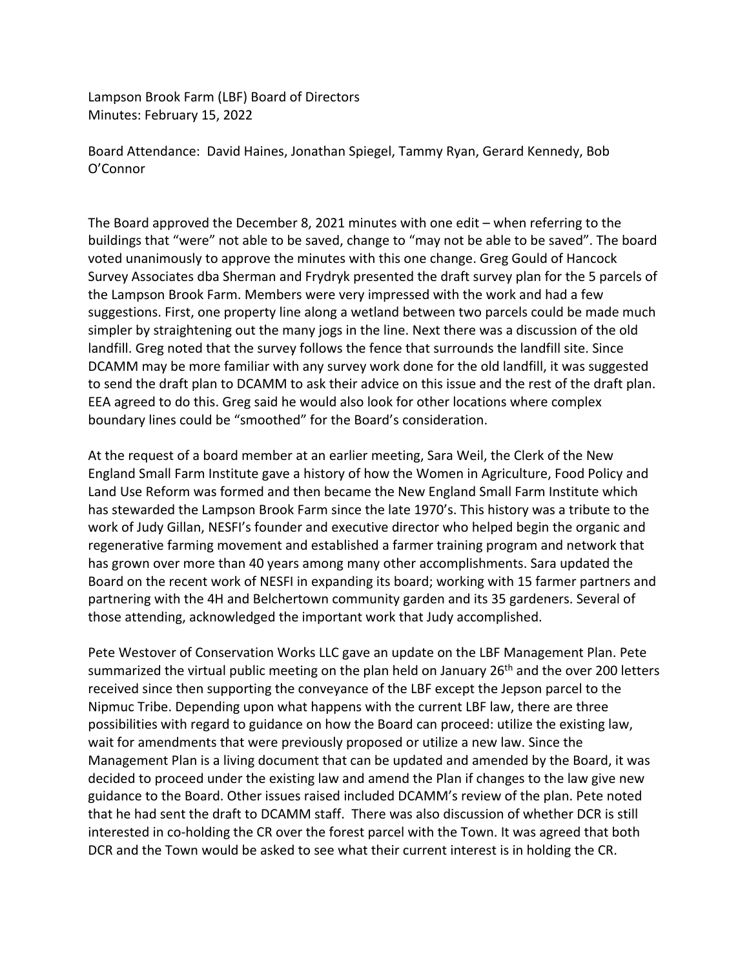Lampson Brook Farm (LBF) Board of Directors Minutes: February 15, 2022

Board Attendance: David Haines, Jonathan Spiegel, Tammy Ryan, Gerard Kennedy, Bob O'Connor

The Board approved the December 8, 2021 minutes with one edit – when referring to the buildings that "were" not able to be saved, change to "may not be able to be saved". The board voted unanimously to approve the minutes with this one change. Greg Gould of Hancock Survey Associates dba Sherman and Frydryk presented the draft survey plan for the 5 parcels of the Lampson Brook Farm. Members were very impressed with the work and had a few suggestions. First, one property line along a wetland between two parcels could be made much simpler by straightening out the many jogs in the line. Next there was a discussion of the old landfill. Greg noted that the survey follows the fence that surrounds the landfill site. Since DCAMM may be more familiar with any survey work done for the old landfill, it was suggested to send the draft plan to DCAMM to ask their advice on this issue and the rest of the draft plan. EEA agreed to do this. Greg said he would also look for other locations where complex boundary lines could be "smoothed" for the Board's consideration.

At the request of a board member at an earlier meeting, Sara Weil, the Clerk of the New England Small Farm Institute gave a history of how the Women in Agriculture, Food Policy and Land Use Reform was formed and then became the New England Small Farm Institute which has stewarded the Lampson Brook Farm since the late 1970's. This history was a tribute to the work of Judy Gillan, NESFI's founder and executive director who helped begin the organic and regenerative farming movement and established a farmer training program and network that has grown over more than 40 years among many other accomplishments. Sara updated the Board on the recent work of NESFI in expanding its board; working with 15 farmer partners and partnering with the 4H and Belchertown community garden and its 35 gardeners. Several of those attending, acknowledged the important work that Judy accomplished.

Pete Westover of Conservation Works LLC gave an update on the LBF Management Plan. Pete summarized the virtual public meeting on the plan held on January 26<sup>th</sup> and the over 200 letters received since then supporting the conveyance of the LBF except the Jepson parcel to the Nipmuc Tribe. Depending upon what happens with the current LBF law, there are three possibilities with regard to guidance on how the Board can proceed: utilize the existing law, wait for amendments that were previously proposed or utilize a new law. Since the Management Plan is a living document that can be updated and amended by the Board, it was decided to proceed under the existing law and amend the Plan if changes to the law give new guidance to the Board. Other issues raised included DCAMM's review of the plan. Pete noted that he had sent the draft to DCAMM staff. There was also discussion of whether DCR is still interested in co-holding the CR over the forest parcel with the Town. It was agreed that both DCR and the Town would be asked to see what their current interest is in holding the CR.